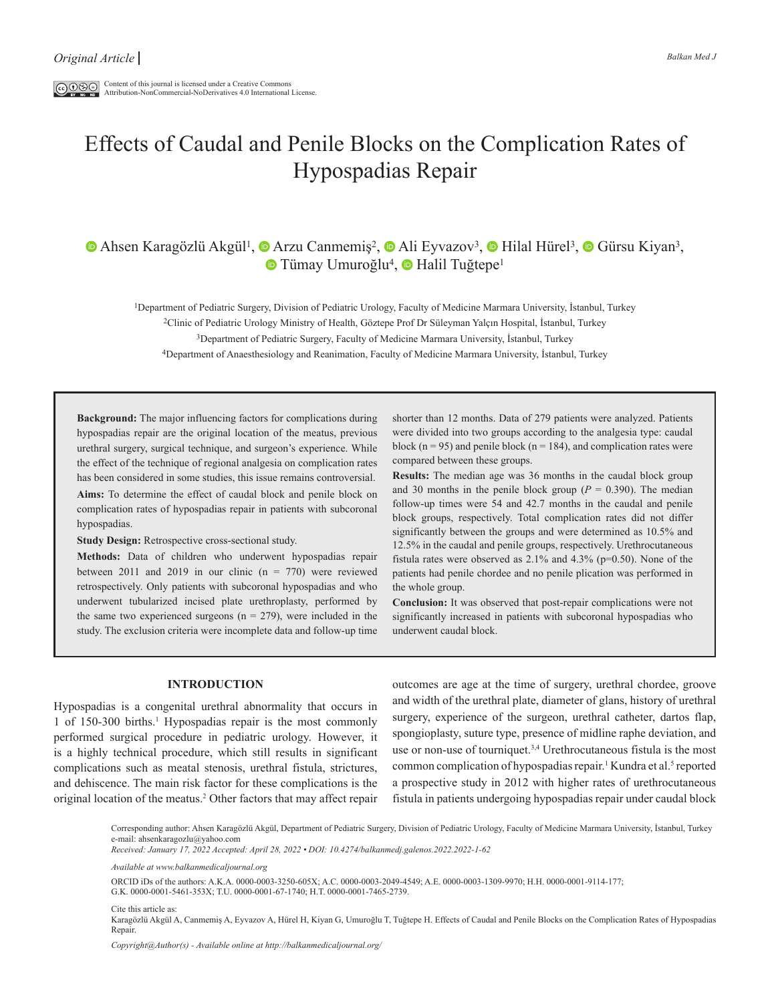$\boxed{\text{co}\,\mathbb{O}\,\mathbb{S}\oplus\,}$  Content of this journal is licensed under a Creative Commons Attribution-NonCommercial-NoDerivatives 4.0 International License.

# Effects of Caudal and Penile Blocks on the Complication Rates of Hypospadias Repair

# $\bullet$  Ahsen Karagözlü Akgül<sup>1</sup>,  $\bullet$  Arzu Canmemiş<sup>2</sup>,  $\bullet$  Ali Eyvazov<sup>3</sup>,  $\bullet$  Hilal Hürel<sup>3</sup>,  $\bullet$  Gürsu Kiyan<sup>3</sup>, **■ Tümay Umuroğlu<sup>4</sup>, ■ Halil Tuğtepe<sup>1</sup>**

1Department of Pediatric Surgery, Division of Pediatric Urology, Faculty of Medicine Marmara University, İstanbul, Turkey

2Clinic of Pediatric Urology Ministry of Health, Göztepe Prof Dr Süleyman Yalçın Hospital, İstanbul, Turkey

3Department of Pediatric Surgery, Faculty of Medicine Marmara University, İstanbul, Turkey

4Department of Anaesthesiology and Reanimation, Faculty of Medicine Marmara University, İstanbul, Turkey

**Background:** The major influencing factors for complications during hypospadias repair are the original location of the meatus, previous urethral surgery, surgical technique, and surgeon's experience. While the effect of the technique of regional analgesia on complication rates has been considered in some studies, this issue remains controversial. **Aims:** To determine the effect of caudal block and penile block on

complication rates of hypospadias repair in patients with subcoronal hypospadias.

**Study Design:** Retrospective cross-sectional study.

**Methods:** Data of children who underwent hypospadias repair between 2011 and 2019 in our clinic  $(n = 770)$  were reviewed retrospectively. Only patients with subcoronal hypospadias and who underwent tubularized incised plate urethroplasty, performed by the same two experienced surgeons ( $n = 279$ ), were included in the study. The exclusion criteria were incomplete data and follow-up time shorter than 12 months. Data of 279 patients were analyzed. Patients were divided into two groups according to the analgesia type: caudal block ( $n = 95$ ) and penile block ( $n = 184$ ), and complication rates were compared between these groups.

**Results:** The median age was 36 months in the caudal block group and 30 months in the penile block group  $(P = 0.390)$ . The median follow-up times were 54 and 42.7 months in the caudal and penile block groups, respectively. Total complication rates did not differ significantly between the groups and were determined as 10.5% and 12.5% in the caudal and penile groups, respectively. Urethrocutaneous fistula rates were observed as 2.1% and 4.3% (p=0.50). None of the patients had penile chordee and no penile plication was performed in the whole group.

**Conclusion:** It was observed that post-repair complications were not significantly increased in patients with subcoronal hypospadias who underwent caudal block.

#### **INTRODUCTION**

Hypospadias is a congenital urethral abnormality that occurs in 1 of 150-300 births.<sup>1</sup> Hypospadias repair is the most commonly performed surgical procedure in pediatric urology. However, it is a highly technical procedure, which still results in significant complications such as meatal stenosis, urethral fistula, strictures, and dehiscence. The main risk factor for these complications is the original location of the meatus.<sup>2</sup> Other factors that may affect repair outcomes are age at the time of surgery, urethral chordee, groove and width of the urethral plate, diameter of glans, history of urethral surgery, experience of the surgeon, urethral catheter, dartos flap, spongioplasty, suture type, presence of midline raphe deviation, and use or non-use of tourniquet.3,4 Urethrocutaneous fistula is the most common complication of hypospadias repair.<sup>1</sup> Kundra et al.<sup>5</sup> reported a prospective study in 2012 with higher rates of urethrocutaneous fistula in patients undergoing hypospadias repair under caudal block

Corresponding author: Ahsen Karagözlü Akgül, Department of Pediatric Surgery, Division of Pediatric Urology, Faculty of Medicine Marmara University, İstanbul, Turkey e-mail: ahsenkaragozlu@yahoo.com *Received: January 17, 2022 Accepted: April 28, 2022 • DOI: 10.4274/balkanmedj.galenos.2022.2022-1-62*

*Available at www.balkanmedicaljournal.org*

ORCID iDs of the authors: A.K.A. 0000-0003-3250-605X; A.C. 0000-0003-2049-4549; A.E. 0000-0003-1309-9970; H.H. 0000-0001-9114-177;

G.K. 0000-0001-5461-353X; T.U. 0000-0001-67-1740; H.T. 0000-0001-7465-2739.

Cite this article as: Karagözlü Akgül A, Canmemiş A, Eyvazov A, Hürel H, Kiyan G, Umuroğlu T, Tuğtepe H. Effects of Caudal and Penile Blocks on the Complication Rates of Hypospadias Repair.

*Copyright@Author(s) - Available online at http://balkanmedicaljournal.org/*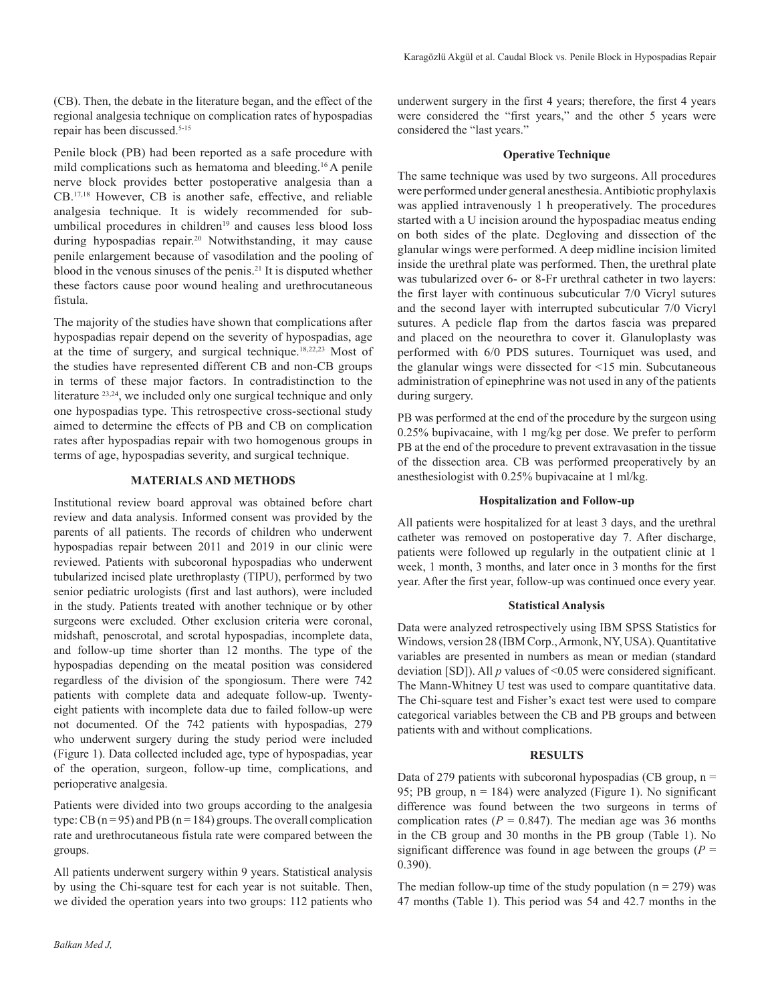(CB). Then, the debate in the literature began, and the effect of the regional analgesia technique on complication rates of hypospadias repair has been discussed.5-15

Penile block (PB) had been reported as a safe procedure with mild complications such as hematoma and bleeding.16 A penile nerve block provides better postoperative analgesia than a CB.17,18 However, CB is another safe, effective, and reliable analgesia technique. It is widely recommended for subumbilical procedures in children<sup>19</sup> and causes less blood loss during hypospadias repair.<sup>20</sup> Notwithstanding, it may cause penile enlargement because of vasodilation and the pooling of blood in the venous sinuses of the penis.21 It is disputed whether these factors cause poor wound healing and urethrocutaneous fistula.

The majority of the studies have shown that complications after hypospadias repair depend on the severity of hypospadias, age at the time of surgery, and surgical technique.18,22,23 Most of the studies have represented different CB and non-CB groups in terms of these major factors. In contradistinction to the literature 23,24, we included only one surgical technique and only one hypospadias type. This retrospective cross-sectional study aimed to determine the effects of PB and CB on complication rates after hypospadias repair with two homogenous groups in terms of age, hypospadias severity, and surgical technique.

#### **MATERIALS AND METHODS**

Institutional review board approval was obtained before chart review and data analysis. Informed consent was provided by the parents of all patients. The records of children who underwent hypospadias repair between 2011 and 2019 in our clinic were reviewed. Patients with subcoronal hypospadias who underwent tubularized incised plate urethroplasty (TIPU), performed by two senior pediatric urologists (first and last authors), were included in the study. Patients treated with another technique or by other surgeons were excluded. Other exclusion criteria were coronal, midshaft, penoscrotal, and scrotal hypospadias, incomplete data, and follow-up time shorter than 12 months. The type of the hypospadias depending on the meatal position was considered regardless of the division of the spongiosum. There were 742 patients with complete data and adequate follow-up. Twentyeight patients with incomplete data due to failed follow-up were not documented. Of the 742 patients with hypospadias, 279 who underwent surgery during the study period were included (Figure 1). Data collected included age, type of hypospadias, year of the operation, surgeon, follow-up time, complications, and perioperative analgesia.

Patients were divided into two groups according to the analgesia type: CB  $(n = 95)$  and PB  $(n = 184)$  groups. The overall complication rate and urethrocutaneous fistula rate were compared between the groups.

All patients underwent surgery within 9 years. Statistical analysis by using the Chi-square test for each year is not suitable. Then, we divided the operation years into two groups: 112 patients who

underwent surgery in the first 4 years; therefore, the first 4 years were considered the "first years," and the other 5 years were considered the "last years."

# **Operative Technique**

The same technique was used by two surgeons. All procedures were performed under general anesthesia. Antibiotic prophylaxis was applied intravenously 1 h preoperatively. The procedures started with a U incision around the hypospadiac meatus ending on both sides of the plate. Degloving and dissection of the glanular wings were performed. A deep midline incision limited inside the urethral plate was performed. Then, the urethral plate was tubularized over 6- or 8-Fr urethral catheter in two layers: the first layer with continuous subcuticular 7/0 Vicryl sutures and the second layer with interrupted subcuticular 7/0 Vicryl sutures. A pedicle flap from the dartos fascia was prepared and placed on the neourethra to cover it. Glanuloplasty was performed with 6/0 PDS sutures. Tourniquet was used, and the glanular wings were dissected for <15 min. Subcutaneous administration of epinephrine was not used in any of the patients during surgery.

PB was performed at the end of the procedure by the surgeon using 0.25% bupivacaine, with 1 mg/kg per dose. We prefer to perform PB at the end of the procedure to prevent extravasation in the tissue of the dissection area. CB was performed preoperatively by an anesthesiologist with 0.25% bupivacaine at 1 ml/kg.

### **Hospitalization and Follow-up**

All patients were hospitalized for at least 3 days, and the urethral catheter was removed on postoperative day 7. After discharge, patients were followed up regularly in the outpatient clinic at 1 week, 1 month, 3 months, and later once in 3 months for the first year. After the first year, follow-up was continued once every year.

#### **Statistical Analysis**

Data were analyzed retrospectively using IBM SPSS Statistics for Windows, version 28 (IBM Corp., Armonk, NY, USA). Quantitative variables are presented in numbers as mean or median (standard deviation [SD]). All *p* values of <0.05 were considered significant. The Mann-Whitney U test was used to compare quantitative data. The Chi-square test and Fisher's exact test were used to compare categorical variables between the CB and PB groups and between patients with and without complications.

#### **RESULTS**

Data of 279 patients with subcoronal hypospadias (CB group,  $n =$ 95; PB group,  $n = 184$ ) were analyzed (Figure 1). No significant difference was found between the two surgeons in terms of complication rates  $(P = 0.847)$ . The median age was 36 months in the CB group and 30 months in the PB group (Table 1). No significant difference was found in age between the groups  $(P =$ 0.390).

The median follow-up time of the study population  $(n = 279)$  was 47 months (Table 1). This period was 54 and 42.7 months in the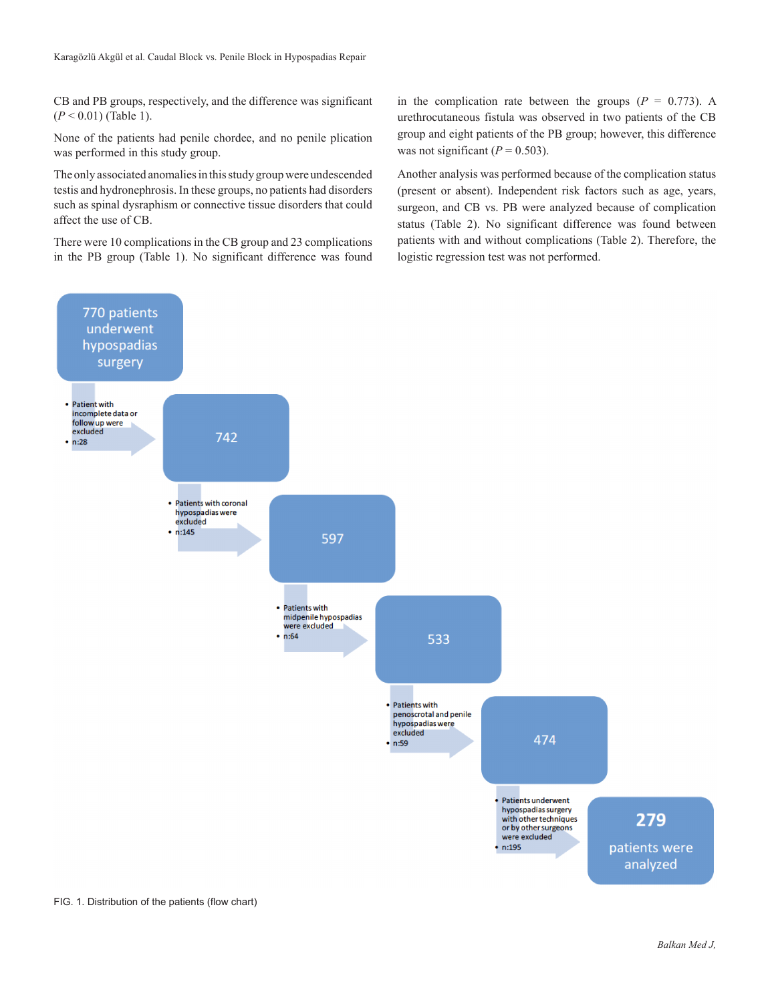CB and PB groups, respectively, and the difference was significant (*P* < 0.01) (Table 1).

None of the patients had penile chordee, and no penile plication was performed in this study group.

The only associated anomalies in this study group were undescended testis and hydronephrosis. In these groups, no patients had disorders such as spinal dysraphism or connective tissue disorders that could affect the use of CB.

There were 10 complications in the CB group and 23 complications in the PB group (Table 1). No significant difference was found

in the complication rate between the groups  $(P = 0.773)$ . A urethrocutaneous fistula was observed in two patients of the CB group and eight patients of the PB group; however, this difference was not significant  $(P = 0.503)$ .

Another analysis was performed because of the complication status (present or absent). Independent risk factors such as age, years, surgeon, and CB vs. PB were analyzed because of complication status (Table 2). No significant difference was found between patients with and without complications (Table 2). Therefore, the logistic regression test was not performed.



FIG. 1. Distribution of the patients (flow chart)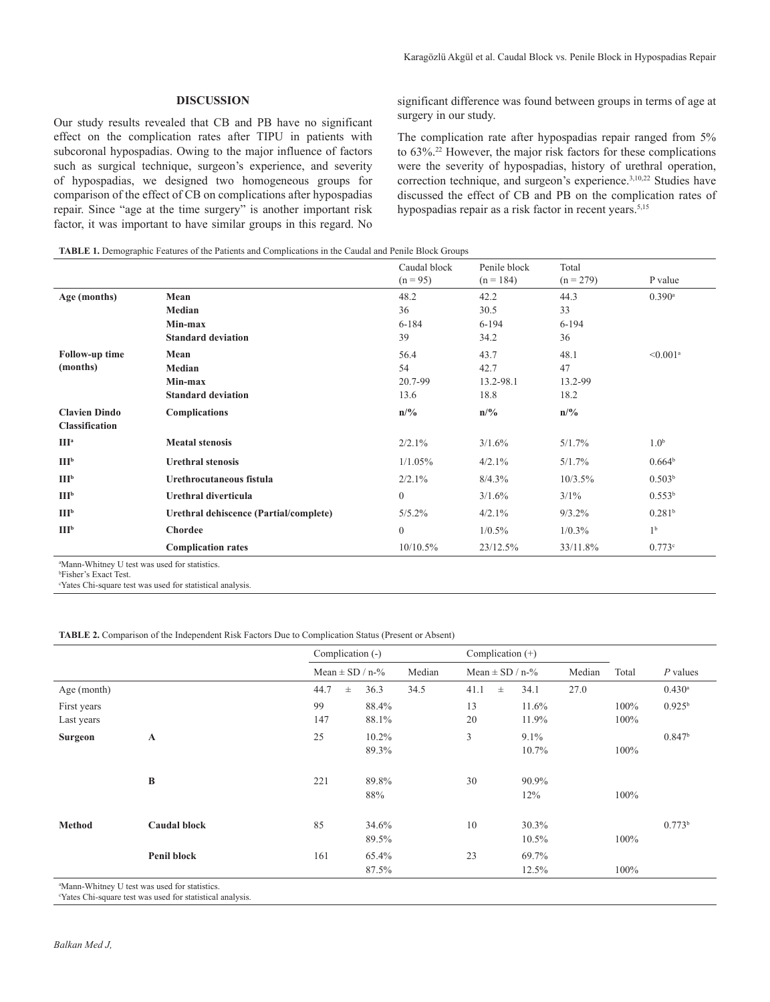## **DISCUSSION**

Our study results revealed that CB and PB have no significant effect on the complication rates after TIPU in patients with subcoronal hypospadias. Owing to the major influence of factors such as surgical technique, surgeon's experience, and severity of hypospadias, we designed two homogeneous groups for comparison of the effect of CB on complications after hypospadias repair. Since "age at the time surgery" is another important risk factor, it was important to have similar groups in this regard. No

significant difference was found between groups in terms of age at surgery in our study.

The complication rate after hypospadias repair ranged from 5% to 63%.<sup>22</sup> However, the major risk factors for these complications were the severity of hypospadias, history of urethral operation, correction technique, and surgeon's experience.<sup>3,10,22</sup> Studies have discussed the effect of CB and PB on the complication rates of hypospadias repair as a risk factor in recent years.<sup>5,15</sup>

#### **TABLE 1.** Demographic Features of the Patients and Complications in the Caudal and Penile Block Groups

|                       |                                        | Caudal block<br>$(n = 95)$ | Penile block<br>$(n = 184)$ | Total<br>$(n = 279)$ | P value                |
|-----------------------|----------------------------------------|----------------------------|-----------------------------|----------------------|------------------------|
| Age (months)          | Mean                                   | 48.2                       | 42.2                        | 44.3                 | $0.390$ <sup>a</sup>   |
|                       | Median                                 | 36                         | 30.5                        | 33                   |                        |
|                       | Min-max                                | $6 - 184$                  | $6 - 194$                   | $6 - 194$            |                        |
|                       | <b>Standard deviation</b>              | 39                         | 34.2                        | 36                   |                        |
| <b>Follow-up time</b> | Mean                                   | 56.4                       | 43.7                        | 48.1                 | $< 0.001$ <sup>a</sup> |
| (months)              | Median                                 | 54                         | 42.7                        | 47                   |                        |
|                       | Min-max                                | 20.7-99                    | 13.2-98.1                   | 13.2-99              |                        |
|                       | <b>Standard deviation</b>              | 13.6                       | 18.8                        | 18.2                 |                        |
| <b>Clavien Dindo</b>  | Complications                          | n/%                        | n/%                         | n/%                  |                        |
| Classification        |                                        |                            |                             |                      |                        |
| III <sup>a</sup>      | <b>Meatal stenosis</b>                 | 2/2.1%                     | 3/1.6%                      | 5/1.7%               | 1.0 <sup>b</sup>       |
| III <sup>b</sup>      | <b>Urethral stenosis</b>               | 1/1.05%                    | 4/2.1%                      | 5/1.7%               | 0.664 <sup>b</sup>     |
| III <sup>b</sup>      | Urethrocutaneous fistula               | 2/2.1%                     | 8/4.3%                      | 10/3.5%              | 0.503 <sup>b</sup>     |
| III <sup>b</sup>      | Urethral diverticula                   | $\Omega$                   | 3/1.6%                      | $3/1\%$              | 0.553 <sup>b</sup>     |
| III <sup>b</sup>      | Urethral dehiscence (Partial/complete) | $5/5.2\%$                  | 4/2.1%                      | $9/3.2\%$            | 0.281 <sup>b</sup>     |
| III <sub>p</sub>      | <b>Chordee</b>                         | $\boldsymbol{0}$           | 1/0.5%                      | $1/0.3\%$            | 1 <sup>b</sup>         |
|                       | <b>Complication rates</b>              | 10/10.5%                   | 23/12.5%                    | 33/11.8%             | 0.773c                 |

a Mann-Whitney U test was used for statistics.

b Fisher's Exact Test.

c Yates Chi-square test was used for statistical analysis.

#### **TABLE 2.** Comparison of the Independent Risk Factors Due to Complication Status (Present or Absent)

|                                                              | Complication (-)    |                   |        | Complication $(+)$  |       |                  |        |              |                      |
|--------------------------------------------------------------|---------------------|-------------------|--------|---------------------|-------|------------------|--------|--------------|----------------------|
|                                                              | Mean $\pm$ SD / n-% |                   | Median | Mean $\pm$ SD / n-% |       |                  | Median | Total        | $P$ values           |
| Age (month)                                                  | 44.7<br>$\pm$       | 36.3              | 34.5   | 41.1                | $\pm$ | 34.1             | 27.0   |              | $0.430$ <sup>a</sup> |
| First years<br>Last years                                    | 99<br>147           | 88.4%<br>88.1%    |        | 13<br>20            |       | 11.6%<br>11.9%   |        | 100%<br>100% | $0.925^{b}$          |
| <b>Surgeon</b><br>$\mathbf A$                                | 25                  | $10.2\%$<br>89.3% |        | 3                   |       | $9.1\%$<br>10.7% |        | 100%         | 0.847 <sup>b</sup>   |
| $\bf{B}$                                                     | 221                 | 89.8%<br>88%      |        | 30                  |       | 90.9%<br>12%     |        | 100%         |                      |
| <b>Method</b><br><b>Caudal block</b>                         | 85                  | 34.6%<br>89.5%    |        | 10                  |       | 30.3%<br>10.5%   |        | 100%         | 0.773 <sup>b</sup>   |
| Penil block<br>aMann Whitney II toot was used for statistics | 161                 | 65.4%<br>87.5%    |        | 23                  |       | 69.7%<br>12.5%   |        | 100%         |                      |

Mann-Whitney U test was used for statistics.

c Yates Chi-square test was used for statistical analysis.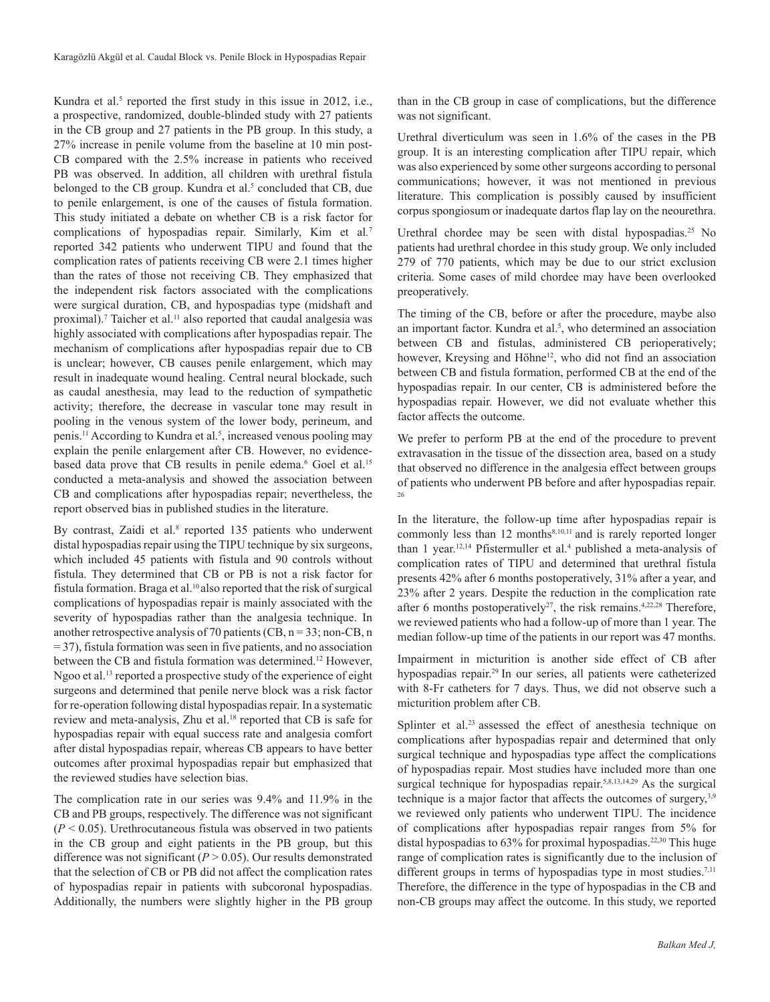Kundra et al.<sup>5</sup> reported the first study in this issue in 2012, i.e., a prospective, randomized, double-blinded study with 27 patients in the CB group and 27 patients in the PB group. In this study, a 27% increase in penile volume from the baseline at 10 min post-CB compared with the 2.5% increase in patients who received PB was observed. In addition, all children with urethral fistula belonged to the CB group. Kundra et al.<sup>5</sup> concluded that CB, due to penile enlargement, is one of the causes of fistula formation. This study initiated a debate on whether CB is a risk factor for complications of hypospadias repair. Similarly, Kim et al*.* 7 reported 342 patients who underwent TIPU and found that the complication rates of patients receiving CB were 2.1 times higher than the rates of those not receiving CB. They emphasized that the independent risk factors associated with the complications were surgical duration, CB, and hypospadias type (midshaft and proximal).<sup>7</sup> Taicher et al.<sup>11</sup> also reported that caudal analgesia was highly associated with complications after hypospadias repair. The mechanism of complications after hypospadias repair due to CB is unclear; however, CB causes penile enlargement, which may result in inadequate wound healing. Central neural blockade, such as caudal anesthesia, may lead to the reduction of sympathetic activity; therefore, the decrease in vascular tone may result in pooling in the venous system of the lower body, perineum, and penis.<sup>11</sup> According to Kundra et al.<sup>5</sup>, increased venous pooling may explain the penile enlargement after CB. However, no evidencebased data prove that CB results in penile edema.<sup>6</sup> Goel et al.<sup>15</sup> conducted a meta-analysis and showed the association between CB and complications after hypospadias repair; nevertheless, the report observed bias in published studies in the literature.

By contrast, Zaidi et al.<sup>8</sup> reported 135 patients who underwent distal hypospadias repair using the TIPU technique by six surgeons, which included 45 patients with fistula and 90 controls without fistula. They determined that CB or PB is not a risk factor for fistula formation. Braga et al.10 also reported that the risk of surgical complications of hypospadias repair is mainly associated with the severity of hypospadias rather than the analgesia technique. In another retrospective analysis of 70 patients (CB,  $n = 33$ ; non-CB, n = 37), fistula formation was seen in five patients, and no association between the CB and fistula formation was determined.<sup>12</sup> However, Ngoo et al.<sup>13</sup> reported a prospective study of the experience of eight surgeons and determined that penile nerve block was a risk factor for re-operation following distal hypospadias repair. In a systematic review and meta-analysis, Zhu et al.18 reported that CB is safe for hypospadias repair with equal success rate and analgesia comfort after distal hypospadias repair, whereas CB appears to have better outcomes after proximal hypospadias repair but emphasized that the reviewed studies have selection bias.

The complication rate in our series was 9.4% and 11.9% in the CB and PB groups, respectively. The difference was not significant  $(P < 0.05)$ . Urethrocutaneous fistula was observed in two patients in the CB group and eight patients in the PB group, but this difference was not significant  $(P > 0.05)$ . Our results demonstrated that the selection of CB or PB did not affect the complication rates of hypospadias repair in patients with subcoronal hypospadias. Additionally, the numbers were slightly higher in the PB group

than in the CB group in case of complications, but the difference was not significant.

Urethral diverticulum was seen in 1.6% of the cases in the PB group. It is an interesting complication after TIPU repair, which was also experienced by some other surgeons according to personal communications; however, it was not mentioned in previous literature. This complication is possibly caused by insufficient corpus spongiosum or inadequate dartos flap lay on the neourethra.

Urethral chordee may be seen with distal hypospadias.<sup>25</sup> No patients had urethral chordee in this study group. We only included 279 of 770 patients, which may be due to our strict exclusion criteria. Some cases of mild chordee may have been overlooked preoperatively.

The timing of the CB, before or after the procedure, maybe also an important factor. Kundra et al.<sup>5</sup>, who determined an association between CB and fistulas, administered CB perioperatively; however, Kreysing and Höhne<sup>12</sup>, who did not find an association between CB and fistula formation, performed CB at the end of the hypospadias repair. In our center, CB is administered before the hypospadias repair. However, we did not evaluate whether this factor affects the outcome.

We prefer to perform PB at the end of the procedure to prevent extravasation in the tissue of the dissection area, based on a study that observed no difference in the analgesia effect between groups of patients who underwent PB before and after hypospadias repair. 26

In the literature, the follow-up time after hypospadias repair is commonly less than 12 months<sup>8,10,11</sup> and is rarely reported longer than 1 year.<sup>12,14</sup> Pfistermuller et al.<sup>4</sup> published a meta-analysis of complication rates of TIPU and determined that urethral fistula presents 42% after 6 months postoperatively, 31% after a year, and 23% after 2 years. Despite the reduction in the complication rate after 6 months postoperatively<sup>27</sup>, the risk remains.<sup>4,22,28</sup> Therefore, we reviewed patients who had a follow-up of more than 1 year. The median follow-up time of the patients in our report was 47 months.

Impairment in micturition is another side effect of CB after hypospadias repair.<sup>29</sup> In our series, all patients were catheterized with 8-Fr catheters for 7 days. Thus, we did not observe such a micturition problem after CB.

Splinter et al.<sup>23</sup> assessed the effect of anesthesia technique on complications after hypospadias repair and determined that only surgical technique and hypospadias type affect the complications of hypospadias repair. Most studies have included more than one surgical technique for hypospadias repair.<sup>5,8,13,14,29</sup> As the surgical technique is a major factor that affects the outcomes of surgery,<sup>3,9</sup> we reviewed only patients who underwent TIPU. The incidence of complications after hypospadias repair ranges from 5% for distal hypospadias to  $63\%$  for proximal hypospadias.<sup>22,30</sup> This huge range of complication rates is significantly due to the inclusion of different groups in terms of hypospadias type in most studies.<sup>7,11</sup> Therefore, the difference in the type of hypospadias in the CB and non-CB groups may affect the outcome. In this study, we reported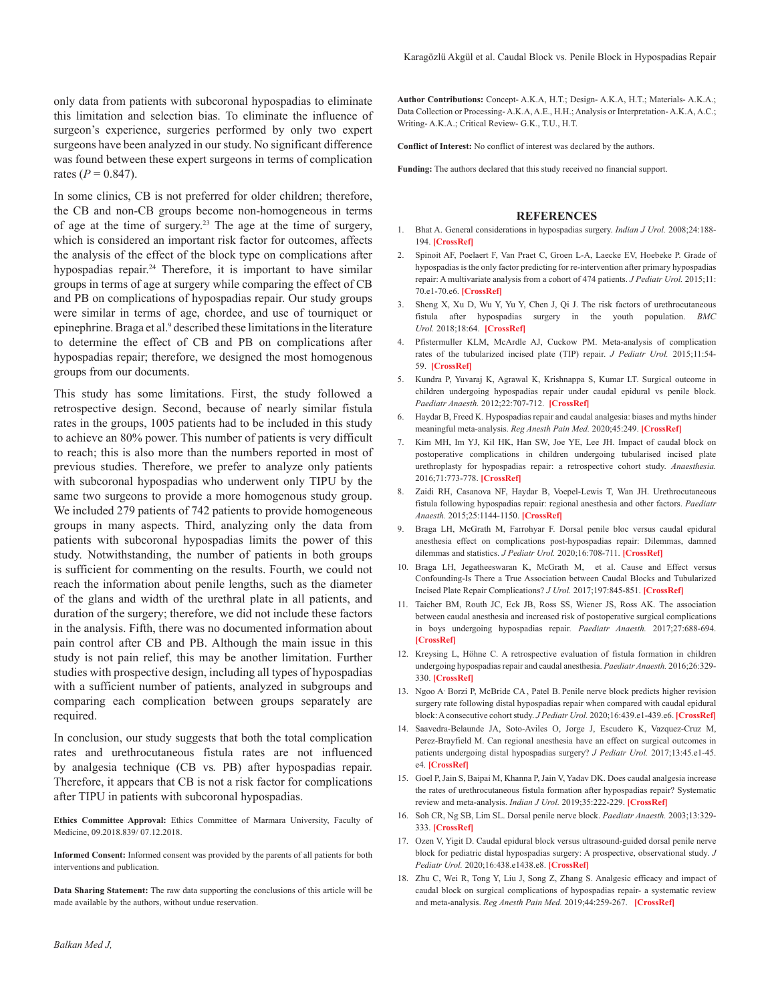only data from patients with subcoronal hypospadias to eliminate this limitation and selection bias. To eliminate the influence of surgeon's experience, surgeries performed by only two expert surgeons have been analyzed in our study. No significant difference was found between these expert surgeons in terms of complication rates  $(P = 0.847)$ .

In some clinics, CB is not preferred for older children; therefore, the CB and non-CB groups become non-homogeneous in terms of age at the time of surgery.<sup>23</sup> The age at the time of surgery, which is considered an important risk factor for outcomes, affects the analysis of the effect of the block type on complications after hypospadias repair.<sup>24</sup> Therefore, it is important to have similar groups in terms of age at surgery while comparing the effect of CB and PB on complications of hypospadias repair. Our study groups were similar in terms of age, chordee, and use of tourniquet or epinephrine. Braga et al.<sup>9</sup> described these limitations in the literature to determine the effect of CB and PB on complications after hypospadias repair; therefore, we designed the most homogenous groups from our documents.

This study has some limitations. First, the study followed a retrospective design. Second, because of nearly similar fistula rates in the groups, 1005 patients had to be included in this study to achieve an 80% power. This number of patients is very difficult to reach; this is also more than the numbers reported in most of previous studies. Therefore, we prefer to analyze only patients with subcoronal hypospadias who underwent only TIPU by the same two surgeons to provide a more homogenous study group. We included 279 patients of 742 patients to provide homogeneous groups in many aspects. Third, analyzing only the data from patients with subcoronal hypospadias limits the power of this study. Notwithstanding, the number of patients in both groups is sufficient for commenting on the results. Fourth, we could not reach the information about penile lengths, such as the diameter of the glans and width of the urethral plate in all patients, and duration of the surgery; therefore, we did not include these factors in the analysis. Fifth, there was no documented information about pain control after CB and PB. Although the main issue in this study is not pain relief, this may be another limitation. Further studies with prospective design, including all types of hypospadias with a sufficient number of patients, analyzed in subgroups and comparing each complication between groups separately are required.

In conclusion, our study suggests that both the total complication rates and urethrocutaneous fistula rates are not influenced by analgesia technique (CB vs*.* PB) after hypospadias repair. Therefore, it appears that CB is not a risk factor for complications after TIPU in patients with subcoronal hypospadias.

**Ethics Committee Approval:** Ethics Committee of Marmara University, Faculty of Medicine, 09.2018.839/ 07.12.2018.

**Informed Consent:** Informed consent was provided by the parents of all patients for both interventions and publication.

**Data Sharing Statement:** The raw data supporting the conclusions of this article will be made available by the authors, without undue reservation.

**Author Contributions:** Concept- A.K.A, H.T.; Design- A.K.A, H.T.; Materials- A.K.A.; Data Collection or Processing- A.K.A, A.E., H.H.; Analysis or Interpretation- A.K.A, A.C.; Writing- A.K.A.; Critical Review- G.K., T.U., H.T.

**Conflict of Interest:** No conflict of interest was declared by the authors.

**Funding:** The authors declared that this study received no financial support.

#### **REFERENCES**

- 1. Bhat A. General considerations in hypospadias surgery. *Indian J Urol.* 2008;24:188- 194. **[CrossRef]**
- 2. Spinoit AF, Poelaert F, Van Praet C, Groen L-A, Laecke EV, Hoebeke P. Grade of hypospadias is the only factor predicting for re-intervention after primary hypospadias repair: A multivariate analysis from a cohort of 474 patients. *J Pediatr Urol.* 2015;11: 70.e1-70.e6. **[CrossRef]**
- 3. Sheng X, Xu D, Wu Y, Yu Y, Chen J, Qi J. The risk factors of urethrocutaneous fistula after hypospadias surgery in the youth population. *BMC Urol.* 2018;18:64. **[CrossRef]**
- 4. Pfistermuller KLM, McArdle AJ, Cuckow PM. Meta-analysis of complication rates of the tubularized incised plate (TIP) repair. *J Pediatr Urol.* 2015;11:54- 59. **[CrossRef]**
- 5. Kundra P, Yuvaraj K, Agrawal K, Krishnappa S, Kumar LT. Surgical outcome in children undergoing hypospadias repair under caudal epidural vs penile block. *Paediatr Anaesth.* 2012;22:707-712. **[CrossRef]**
- 6. Haydar B, Freed K. Hypospadias repair and caudal analgesia: biases and myths hinder meaningful meta-analysis. *Reg Anesth Pain Med.* 2020;45:249. **[CrossRef]**
- 7. Kim MH, Im YJ, Kil HK, Han SW, Joe YE, Lee JH. Impact of caudal block on postoperative complications in children undergoing tubularised incised plate urethroplasty for hypospadias repair: a retrospective cohort study. *Anaesthesia.* 2016;71:773-778. **[CrossRef]**
- 8. Zaidi RH, Casanova NF, Haydar B, Voepel-Lewis T, Wan JH. Urethrocutaneous fistula following hypospadias repair: regional anesthesia and other factors. *Paediatr Anaesth.* 2015;25:1144-1150. **[CrossRef]**
- 9. Braga LH, McGrath M, Farrohyar F. Dorsal penile bloc versus caudal epidural anesthesia effect on complications post-hypospadias repair: Dilemmas, damned dilemmas and statistics. *J Pediatr Urol.* 2020;16:708-711. **[CrossRef]**
- 10. Braga LH, Jegatheeswaran K, McGrath M, et al. Cause and Effect versus Confounding-Is There a True Association between Caudal Blocks and Tubularized Incised Plate Repair Complications? *J Urol.* 2017;197:845-851. **[CrossRef]**
- 11. Taicher BM, Routh JC, Eck JB, Ross SS, Wiener JS, Ross AK. The association between caudal anesthesia and increased risk of postoperative surgical complications in boys undergoing hypospadias repair*. Paediatr Anaesth.* 2017;27:688-694. **[CrossRef]**
- 12. Kreysing L, Höhne C. A retrospective evaluation of fistula formation in children undergoing hypospadiasrepair and caudal anesthesia. *Paediatr Anaesth.* 2016;26:329- 330. **[CrossRef]**
- 13. Ngoo A<sup>,</sup> Borzi P, McBride CA, Patel B. Penile nerve block predicts higher revision surgery rate following distal hypospadias repair when compared with caudal epidural block: A consecutive cohort study. *J Pediatr Urol.* 2020;16:439.e1-439.e6. **[CrossRef]**
- 14. Saavedra-Belaunde JA, Soto-Aviles O, Jorge J, Escudero K, Vazquez-Cruz M, Perez-Brayfield M. Can regional anesthesia have an effect on surgical outcomes in patients undergoing distal hypospadias surgery? *J Pediatr Urol.* 2017;13:45.e1-45. e4. **[CrossRef]**
- 15. Goel P, Jain S, Baipai M, Khanna P, Jain V, Yadav DK. Does caudal analgesia increase the rates of urethrocutaneous fistula formation after hypospadias repair? Systematic review and meta-analysis. *Indian J Urol.* 2019;35:222-229. **[CrossRef]**
- 16. Soh CR, Ng SB, Lim SL. Dorsal penile nerve block. *Paediatr Anaesth.* 2003;13:329- 333. **[CrossRef]**
- 17. Ozen V, Yigit D. Caudal epidural block versus ultrasound-guided dorsal penile nerve block for pediatric distal hypospadias surgery: A prospective, observational study. *J Pediatr Urol.* 2020;16:438.e1438.e8. **[CrossRef]**
- 18. Zhu C, Wei R, Tong Y, Liu J, Song Z, Zhang S. Analgesic efficacy and impact of caudal block on surgical complications of hypospadias repair- a systematic review and meta-analysis. *Reg Anesth Pain Med.* 2019;44:259-267. **[CrossRef]**